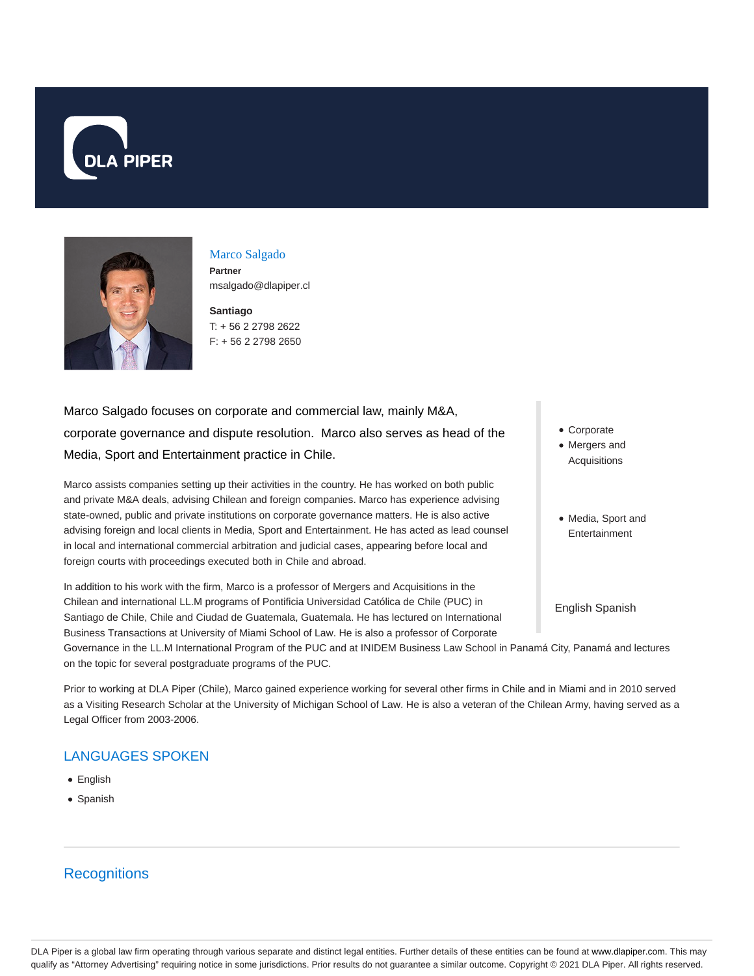



Marco Salgado **Partner** msalgado@dlapiper.cl

**Santiago** T: + 56 2 2798 2622 F: + 56 2 2798 2650

Marco Salgado focuses on corporate and commercial law, mainly M&A, corporate governance and dispute resolution. Marco also serves as head of the Media, Sport and Entertainment practice in Chile.

Marco assists companies setting up their activities in the country. He has worked on both public and private M&A deals, advising Chilean and foreign companies. Marco has experience advising state-owned, public and private institutions on corporate governance matters. He is also active advising foreign and local clients in Media, Sport and Entertainment. He has acted as lead counsel in local and international commercial arbitration and judicial cases, appearing before local and foreign courts with proceedings executed both in Chile and abroad.

In addition to his work with the firm, Marco is a professor of Mergers and Acquisitions in the Chilean and international LL.M programs of Pontificia Universidad Católica de Chile (PUC) in Santiago de Chile, Chile and Ciudad de Guatemala, Guatemala. He has lectured on International Business Transactions at University of Miami School of Law. He is also a professor of Corporate

Governance in the LL.M International Program of the PUC and at INIDEM Business Law School in Panamá City, Panamá and lectures on the topic for several postgraduate programs of the PUC.

Prior to working at DLA Piper (Chile), Marco gained experience working for several other firms in Chile and in Miami and in 2010 served as a Visiting Research Scholar at the University of Michigan School of Law. He is also a veteran of the Chilean Army, having served as a Legal Officer from 2003-2006.

# LANGUAGES SPOKEN

- English
- Spanish

# **Recognitions**

- Corporate
- Mergers and Acquisitions
- Media, Sport and Entertainment

English Spanish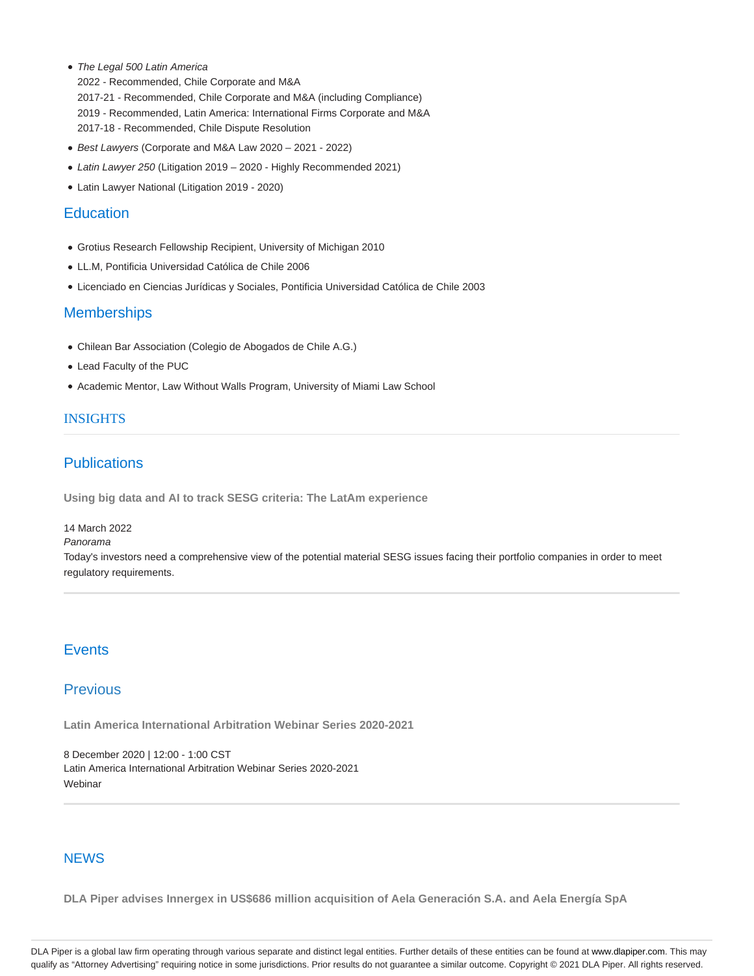• The Legal 500 Latin America

2022 - Recommended, Chile Corporate and M&A 2017-21 - Recommended, Chile Corporate and M&A (including Compliance) 2019 - Recommended, Latin America: International Firms Corporate and M&A 2017-18 - Recommended, Chile Dispute Resolution

- Best Lawyers (Corporate and M&A Law 2020 2021 2022)
- Latin Lawyer 250 (Litigation 2019 2020 Highly Recommended 2021)
- Latin Lawyer National (Litigation 2019 2020)

# **Education**

- Grotius Research Fellowship Recipient, University of Michigan 2010
- LL.M, Pontificia Universidad Católica de Chile 2006
- Licenciado en Ciencias Jurídicas y Sociales, Pontificia Universidad Católica de Chile 2003

## **Memberships**

- Chilean Bar Association (Colegio de Abogados de Chile A.G.)
- Lead Faculty of the PUC
- Academic Mentor, Law Without Walls Program, University of Miami Law School

## INSIGHTS

## **Publications**

**Using big data and AI to track SESG criteria: The LatAm experience**

14 March 2022

#### Panorama

Today's investors need a comprehensive view of the potential material SESG issues facing their portfolio companies in order to meet regulatory requirements.

# **Events**

## Previous

**Latin America International Arbitration Webinar Series 2020-2021**

8 December 2020 | 12:00 - 1:00 CST Latin America International Arbitration Webinar Series 2020-2021 **Webinar** 

## **NEWS**

**DLA Piper advises Innergex in US\$686 million acquisition of Aela Generación S.A. and Aela Energía SpA**

DLA Piper is a global law firm operating through various separate and distinct legal entities. Further details of these entities can be found at www.dlapiper.com. This may qualify as "Attorney Advertising" requiring notice in some jurisdictions. Prior results do not guarantee a similar outcome. Copyright © 2021 DLA Piper. All rights reserved.